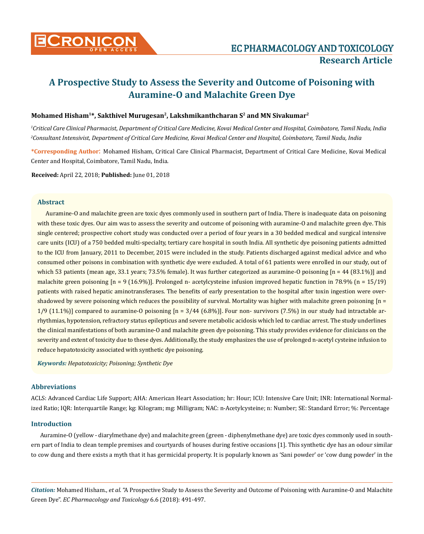

# **A Prospective Study to Assess the Severity and Outcome of Poisoning with Auramine-O and Malachite Green Dye**

## Mohamed Hisham<sup>1\*</sup>, Sakthivel Murugesan<sup>2</sup>, Lakshmikanthcharan S<sup>2</sup> and MN Sivakumar<sup>2</sup>

*1 Critical Care Clinical Pharmacist, Department of Critical Care Medicine, Kovai Medical Center and Hospital, Coimbatore, Tamil Nadu, India 2 Consultant Intensivist, Department of Critical Care Medicine, Kovai Medical Center and Hospital, Coimbatore, Tamil Nadu, India*

**\*Corresponding Author**: Mohamed Hisham, Critical Care Clinical Pharmacist, Department of Critical Care Medicine, Kovai Medical Center and Hospital, Coimbatore, Tamil Nadu, India.

**Received:** April 22, 2018; **Published:** June 01, 2018

## **Abstract**

Auramine-O and malachite green are toxic dyes commonly used in southern part of India. There is inadequate data on poisoning with these toxic dyes. Our aim was to assess the severity and outcome of poisoning with auramine-O and malachite green dye. This single centered; prospective cohort study was conducted over a period of four years in a 30 bedded medical and surgical intensive care units (ICU) of a 750 bedded multi-specialty, tertiary care hospital in south India. All synthetic dye poisoning patients admitted to the ICU from January, 2011 to December, 2015 were included in the study. Patients discharged against medical advice and who consumed other poisons in combination with synthetic dye were excluded. A total of 61 patients were enrolled in our study, out of which 53 patients (mean age, 33.1 years; 73.5% female). It was further categorized as auramine-O poisoning  $[n = 44 (83.1\%)]$  and malachite green poisoning  $[n = 9 (16.9\%)]$ . Prolonged n- acetylcysteine infusion improved hepatic function in 78.9%  $(n = 15/19)$ patients with raised hepatic aminotransferases. The benefits of early presentation to the hospital after toxin ingestion were overshadowed by severe poisoning which reduces the possibility of survival. Mortality was higher with malachite green poisoning  $[n = 1]$ 1/9 (11.1%)] compared to auramine-O poisoning  $[n = 3/44 (6.8\%)]$ . Four non- survivors (7.5%) in our study had intractable arrhythmias, hypotension, refractory status epilepticus and severe metabolic acidosis which led to cardiac arrest. The study underlines the clinical manifestations of both auramine-O and malachite green dye poisoning. This study provides evidence for clinicians on the severity and extent of toxicity due to these dyes. Additionally, the study emphasizes the use of prolonged n-acetyl cysteine infusion to reduce hepatotoxicity associated with synthetic dye poisoning.

*Keywords: Hepatotoxicity; Poisoning; Synthetic Dye*

## **Abbreviations**

ACLS: Advanced Cardiac Life Support; AHA: American Heart Association; hr: Hour; ICU: Intensive Care Unit; INR: International Normalized Ratio; IQR: Interquartile Range; kg: Kilogram; mg: Milligram; NAC: n-Acetylcysteine; n: Number; SE: Standard Error; %: Percentage

#### **Introduction**

Auramine-O (yellow - diarylmethane dye) and malachite green (green - diphenylmethane dye) are toxic dyes commonly used in southern part of India to clean temple premises and courtyards of houses during festive occasions [1]. This synthetic dye has an odour similar to cow dung and there exists a myth that it has germicidal property. It is popularly known as 'Sani powder' or 'cow dung powder' in the

*Citation:* Mohamed Hisham., *et al*. "A Prospective Study to Assess the Severity and Outcome of Poisoning with Auramine-O and Malachite Green Dye". *EC Pharmacology and Toxicology* 6.6 (2018): 491-497.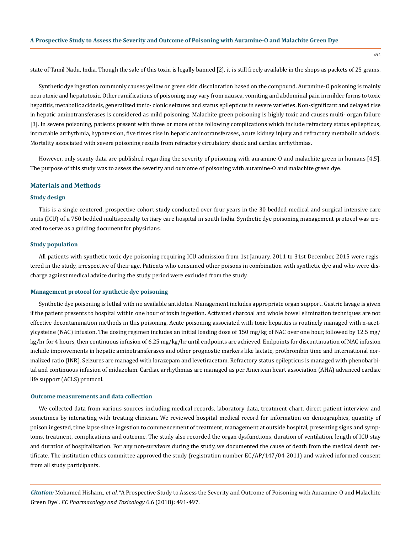state of Tamil Nadu, India. Though the sale of this toxin is legally banned [2], it is still freely available in the shops as packets of 25 grams.

Synthetic dye ingestion commonly causes yellow or green skin discoloration based on the compound. Auramine-O poisoning is mainly neurotoxic and hepatotoxic. Other ramifications of poisoning may vary from nausea, vomiting and abdominal pain in milder forms to toxic hepatitis, metabolic acidosis, generalized tonic- clonic seizures and status epilepticus in severe varieties. Non-significant and delayed rise in hepatic aminotransferases is considered as mild poisoning. Malachite green poisoning is highly toxic and causes multi- organ failure [3]. In severe poisoning, patients present with three or more of the following complications which include refractory status epilepticus, intractable arrhythmia, hypotension, five times rise in hepatic aminotransferases, acute kidney injury and refractory metabolic acidosis. Mortality associated with severe poisoning results from refractory circulatory shock and cardiac arrhythmias.

However, only scanty data are published regarding the severity of poisoning with auramine-O and malachite green in humans [4,5]. The purpose of this study was to assess the severity and outcome of poisoning with auramine-O and malachite green dye.

#### **Materials and Methods**

#### **Study design**

This is a single centered, prospective cohort study conducted over four years in the 30 bedded medical and surgical intensive care units (ICU) of a 750 bedded multispecialty tertiary care hospital in south India. Synthetic dye poisoning management protocol was created to serve as a guiding document for physicians.

## **Study population**

All patients with synthetic toxic dye poisoning requiring ICU admission from 1st January, 2011 to 31st December, 2015 were registered in the study, irrespective of their age. Patients who consumed other poisons in combination with synthetic dye and who were discharge against medical advice during the study period were excluded from the study.

#### **Management protocol for synthetic dye poisoning**

Synthetic dye poisoning is lethal with no available antidotes. Management includes appropriate organ support. Gastric lavage is given if the patient presents to hospital within one hour of toxin ingestion. Activated charcoal and whole bowel elimination techniques are not effective decontamination methods in this poisoning. Acute poisoning associated with toxic hepatitis is routinely managed with n-acetylcysteine (NAC) infusion. The dosing regimen includes an initial loading dose of 150 mg/kg of NAC over one hour, followed by 12.5 mg/ kg/hr for 4 hours, then continuous infusion of 6.25 mg/kg/hr until endpoints are achieved. Endpoints for discontinuation of NAC infusion include improvements in hepatic aminotransferases and other prognostic markers like lactate, prothrombin time and international normalized ratio (INR). Seizures are managed with lorazepam and levetiracetam. Refractory status epilepticus is managed with phenobarbital and continuous infusion of midazolam. Cardiac arrhythmias are managed as per American heart association (AHA) advanced cardiac life support (ACLS) protocol.

#### **Outcome measurements and data collection**

We collected data from various sources including medical records, laboratory data, treatment chart, direct patient interview and sometimes by interacting with treating clinician. We reviewed hospital medical record for information on demographics, quantity of poison ingested, time lapse since ingestion to commencement of treatment, management at outside hospital, presenting signs and symptoms, treatment, complications and outcome. The study also recorded the organ dysfunctions, duration of ventilation, length of ICU stay and duration of hospitalization. For any non-survivors during the study, we documented the cause of death from the medical death certificate. The institution ethics committee approved the study (registration number EC/AP/147/04-2011) and waived informed consent from all study participants.

*Citation:* Mohamed Hisham., *et al*. "A Prospective Study to Assess the Severity and Outcome of Poisoning with Auramine-O and Malachite Green Dye". *EC Pharmacology and Toxicology* 6.6 (2018): 491-497.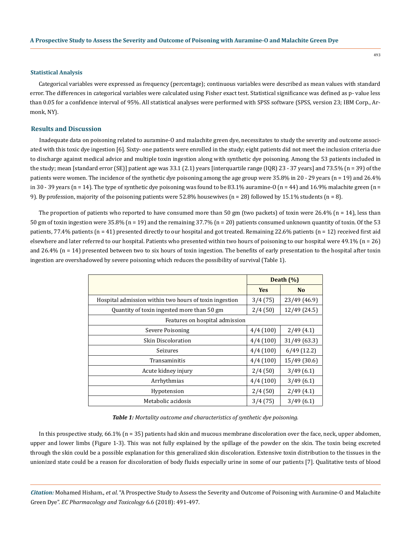#### **Statistical Analysis**

Categorical variables were expressed as frequency (percentage); continuous variables were described as mean values with standard error. The differences in categorical variables were calculated using Fisher exact test. Statistical significance was defined as p- value less than 0.05 for a confidence interval of 95%. All statistical analyses were performed with SPSS software (SPSS, version 23; IBM Corp., Armonk, NY).

## **Results and Discussion**

Inadequate data on poisoning related to auramine-O and malachite green dye, necessitates to study the severity and outcome associated with this toxic dye ingestion [6]. Sixty- one patients were enrolled in the study; eight patients did not meet the inclusion criteria due to discharge against medical advice and multiple toxin ingestion along with synthetic dye poisoning. Among the 53 patients included in the study; mean [standard error (SE)] patient age was 33.1 (2.1) years [interquartile range (IQR) 23 - 37 years] and 73.5% (n = 39) of the patients were women. The incidence of the synthetic dye poisoning among the age group were 35.8% in 20 - 29 years (n = 19) and 26.4% in 30 - 39 years ( $n = 14$ ). The type of synthetic dye poisoning was found to be 83.1% auramine-O ( $n = 44$ ) and 16.9% malachite green ( $n =$ 9). By profession, majority of the poisoning patients were  $52.8\%$  housewives (n = 28) followed by 15.1% students (n = 8).

The proportion of patients who reported to have consumed more than 50 gm (two packets) of toxin were 26.4% ( $n = 14$ ), less than 50 gm of toxin ingestion were 35.8% (n = 19) and the remaining 37.7% (n = 20) patients consumed unknown quantity of toxin. Of the 53 patients, 77.4% patients (n = 41) presented directly to our hospital and got treated. Remaining 22.6% patients (n = 12) received first aid elsewhere and later referred to our hospital. Patients who presented within two hours of poisoning to our hospital were 49.1% (n = 26) and 26.4%  $(n = 14)$  presented between two to six hours of toxin ingestion. The benefits of early presentation to the hospital after toxin ingestion are overshadowed by severe poisoning which reduces the possibility of survival (Table 1).

|                                                        | Death (%)  |                |  |  |
|--------------------------------------------------------|------------|----------------|--|--|
|                                                        | <b>Yes</b> | N <sub>o</sub> |  |  |
| Hospital admission within two hours of toxin ingestion | 3/4(75)    | 23/49 (46.9)   |  |  |
| Quantity of toxin ingested more than 50 gm             | 2/4(50)    | 12/49 (24.5)   |  |  |
| Features on hospital admission                         |            |                |  |  |
| Severe Poisoning                                       | 4/4(100)   | 2/49(4.1)      |  |  |
| Skin Discoloration                                     | 4/4(100)   | 31/49 (63.3)   |  |  |
| Seizures                                               | 4/4(100)   | 6/49(12.2)     |  |  |
| Transaminitis                                          | 4/4(100)   | 15/49 (30.6)   |  |  |
| Acute kidney injury                                    | 2/4(50)    | 3/49(6.1)      |  |  |
| Arrhythmias                                            | 4/4(100)   | 3/49(6.1)      |  |  |
| Hypotension                                            | 2/4(50)    | 2/49(4.1)      |  |  |
| Metabolic acidosis                                     | 3/4(75)    | 3/49(6.1)      |  |  |

*Table 1: Mortality outcome and characteristics of synthetic dye poisoning.*

In this prospective study, 66.1% (n = 35) patients had skin and mucous membrane discoloration over the face, neck, upper abdomen, upper and lower limbs (Figure 1-3). This was not fully explained by the spillage of the powder on the skin. The toxin being excreted through the skin could be a possible explanation for this generalized skin discoloration. Extensive toxin distribution to the tissues in the unionized state could be a reason for discoloration of body fluids especially urine in some of our patients [7]. Qualitative tests of blood

*Citation:* Mohamed Hisham., *et al*. "A Prospective Study to Assess the Severity and Outcome of Poisoning with Auramine-O and Malachite Green Dye". *EC Pharmacology and Toxicology* 6.6 (2018): 491-497.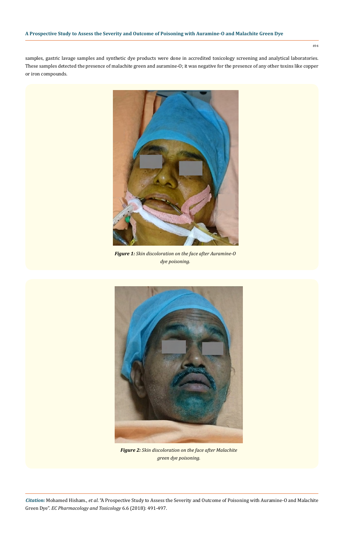494

samples, gastric lavage samples and synthetic dye products were done in accredited toxicology screening and analytical laboratories. These samples detected the presence of malachite green and auramine-O; it was negative for the presence of any other toxins like copper or iron compounds.



*Figure 1: Skin discoloration on the face after Auramine-O dye poisoning.*



*Figure 2: Skin discoloration on the face after Malachite green dye poisoning.*

*Citation:* Mohamed Hisham., *et al*. "A Prospective Study to Assess the Severity and Outcome of Poisoning with Auramine-O and Malachite Green Dye". *EC Pharmacology and Toxicology* 6.6 (2018): 491-497.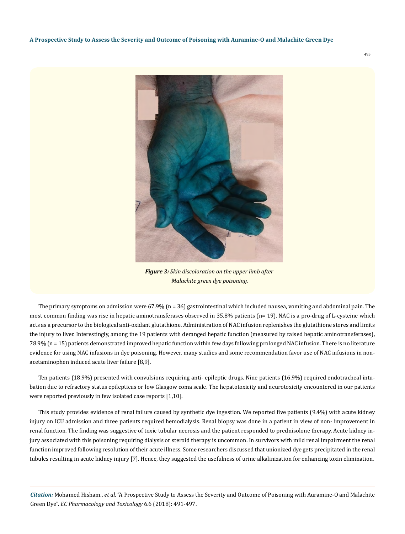*Figure 3: Skin discoloration on the upper limb after Malachite green dye poisoning.*

The primary symptoms on admission were 67.9% (n = 36) gastrointestinal which included nausea, vomiting and abdominal pain. The most common finding was rise in hepatic aminotransferases observed in 35.8% patients (n= 19). NAC is a pro-drug of L-cysteine which acts as a precursor to the biological anti-oxidant glutathione. Administration of NAC infusion replenishes the glutathione stores and limits the injury to liver. Interestingly, among the 19 patients with deranged hepatic function (measured by raised hepatic aminotransferases), 78.9% (n = 15) patients demonstrated improved hepatic function within few days following prolonged NAC infusion. There is no literature evidence for using NAC infusions in dye poisoning. However, many studies and some recommendation favor use of NAC infusions in nonacetaminophen induced acute liver failure [8,9].

Ten patients (18.9%) presented with convulsions requiring anti- epileptic drugs. Nine patients (16.9%) required endotracheal intubation due to refractory status epilepticus or low Glasgow coma scale. The hepatotoxicity and neurotoxicity encountered in our patients were reported previously in few isolated case reports [1,10].

This study provides evidence of renal failure caused by synthetic dye ingestion. We reported five patients (9.4%) with acute kidney injury on ICU admission and three patients required hemodialysis. Renal biopsy was done in a patient in view of non- improvement in renal function. The finding was suggestive of toxic tubular necrosis and the patient responded to prednisolone therapy. Acute kidney injury associated with this poisoning requiring dialysis or steroid therapy is uncommon. In survivors with mild renal impairment the renal function improved following resolution of their acute illness. Some researchers discussed that unionized dye gets precipitated in the renal tubules resulting in acute kidney injury [7]. Hence, they suggested the usefulness of urine alkalinization for enhancing toxin elimination.

*Citation:* Mohamed Hisham., *et al*. "A Prospective Study to Assess the Severity and Outcome of Poisoning with Auramine-O and Malachite Green Dye". *EC Pharmacology and Toxicology* 6.6 (2018): 491-497.

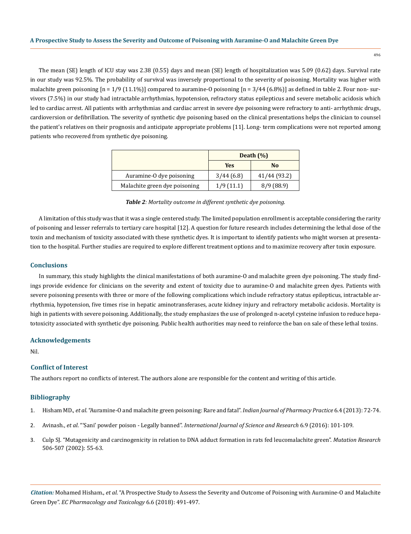The mean (SE) length of ICU stay was 2.38 (0.55) days and mean (SE) length of hospitalization was 5.09 (0.62) days. Survival rate in our study was 92.5%. The probability of survival was inversely proportional to the severity of poisoning. Mortality was higher with malachite green poisoning  $[n = 1/9 (11.1\%)]$  compared to auramine-O poisoning  $[n = 3/44 (6.8\%)]$  as defined in table 2. Four non- survivors (7.5%) in our study had intractable arrhythmias, hypotension, refractory status epilepticus and severe metabolic acidosis which led to cardiac arrest. All patients with arrhythmias and cardiac arrest in severe dye poisoning were refractory to anti- arrhythmic drugs, cardioversion or defibrillation. The severity of synthetic dye poisoning based on the clinical presentations helps the clinician to counsel the patient's relatives on their prognosis and anticipate appropriate problems [11]. Long- term complications were not reported among patients who recovered from synthetic dye poisoning.

|                               | Death $(\% )$ |                |
|-------------------------------|---------------|----------------|
|                               | Yes           | N <sub>0</sub> |
| Auramine-O dye poisoning      | 3/44(6.8)     | 41/44 (93.2)   |
| Malachite green dye poisoning | 1/9(11.1)     | 8/9(88.9)      |

*Table 2: Mortality outcome in different synthetic dye poisoning.*

A limitation of this study was that it was a single centered study. The limited population enrollment is acceptable considering the rarity of poisoning and lesser referrals to tertiary care hospital [12]. A question for future research includes determining the lethal dose of the toxin and mechanism of toxicity associated with these synthetic dyes. It is important to identify patients who might worsen at presentation to the hospital. Further studies are required to explore different treatment options and to maximize recovery after toxin exposure.

#### **Conclusions**

In summary, this study highlights the clinical manifestations of both auramine-O and malachite green dye poisoning. The study findings provide evidence for clinicians on the severity and extent of toxicity due to auramine-O and malachite green dyes. Patients with severe poisoning presents with three or more of the following complications which include refractory status epilepticus, intractable arrhythmia, hypotension, five times rise in hepatic aminotransferases, acute kidney injury and refractory metabolic acidosis. Mortality is high in patients with severe poisoning. Additionally, the study emphasizes the use of prolonged n-acetyl cysteine infusion to reduce hepatotoxicity associated with synthetic dye poisoning. Public health authorities may need to reinforce the ban on sale of these lethal toxins.

#### **Acknowledgements**

Nil.

## **Conflict of Interest**

The authors report no conflicts of interest. The authors alone are responsible for the content and writing of this article.

## **Bibliography**

- 1. Hisham MD., *et al*[. "Auramine-O and malachite green poisoning: Rare and fatal".](http://www.ijopp.org/article/81) *Indian Journal of Pharmacy Practice* 6.4 (2013): 72-74.
- 2. Avinash., *et al*. "'Sani' powder poison Legally banned". *[International Journal of Science and Research](http://www.ijsrp.org/research-paper-0916/ijsrp-p5715.pdf)* 6.9 (2016): 101-109.
- 3. [Culp SJ. "Mutagenicity and carcinogenicity in relation to DNA adduct formation in rats fed leucomalachite green".](https://www.ncbi.nlm.nih.gov/pubmed/12351145) *Mutation Research* [506-507 \(2002\): 55-63.](https://www.ncbi.nlm.nih.gov/pubmed/12351145)

*Citation:* Mohamed Hisham., *et al*. "A Prospective Study to Assess the Severity and Outcome of Poisoning with Auramine-O and Malachite Green Dye". *EC Pharmacology and Toxicology* 6.6 (2018): 491-497.